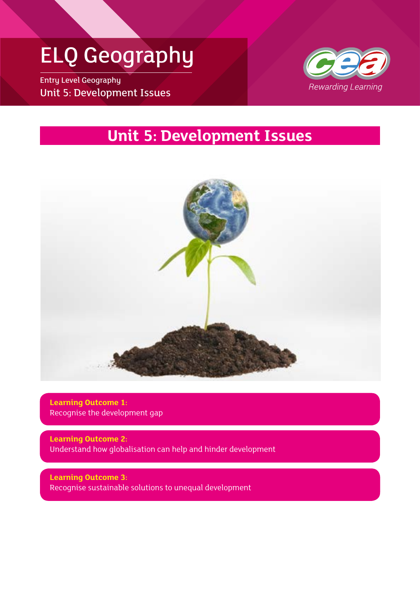# ELQ Geography

Entry Level Geography Unit 5: Development Issues



# **Unit 5: Development Issues**



**Learning Outcome 1:** Recognise the development gap

**Learning Outcome 2:** Understand how globalisation can help and hinder development

**Learning Outcome 3:** Recognise sustainable solutions to unequal development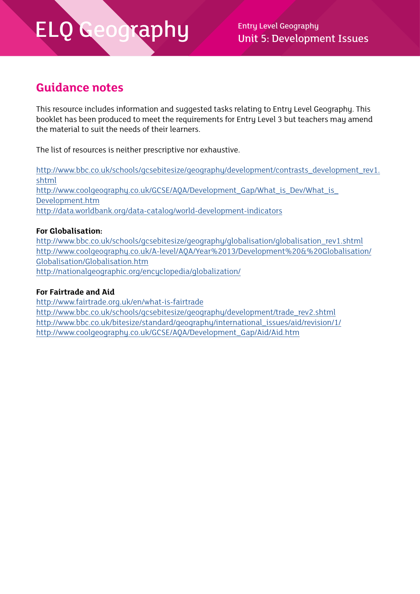Unit 5: Development Issues

### **Guidance notes**

This resource includes information and suggested tasks relating to Entry Level Geography. This booklet has been produced to meet the requirements for Entry Level 3 but teachers may amend the material to suit the needs of their learners.

The list of resources is neither prescriptive nor exhaustive.

[http://www.bbc.co.uk/schools/gcsebitesize/geography/development/contrasts\\_development\\_rev1.](http://www.bbc.co.uk/schools/gcsebitesize/geography/development/contrasts_development_rev1.shtml) [shtml](http://www.bbc.co.uk/schools/gcsebitesize/geography/development/contrasts_development_rev1.shtml) [http://www.coolgeography.co.uk/GCSE/AQA/Development\\_Gap/What\\_is\\_Dev/What\\_is\\_](http://www.coolgeography.co.uk/GCSE/AQA/Development_Gap/What_is_Dev/What_is_Development.htm) [Development.htm](http://www.coolgeography.co.uk/GCSE/AQA/Development_Gap/What_is_Dev/What_is_Development.htm) <http://data.worldbank.org/data-catalog/world-development-indicators>

#### **For Globalisation:**

[http://www.bbc.co.uk/schools/gcsebitesize/geography/globalisation/globalisation\\_rev1.shtml](http://www.bbc.co.uk/schools/gcsebitesize/geography/globalisation/globalisation_rev1.shtml) [http://www.coolgeography.co.uk/A-level/AQA/Year%2013/Development%20&%20Globalisation/](http://www.coolgeography.co.uk/A-level/AQA/Year%2013/Development%20&%20Globalisation/Globalisation/Globalisation.htm) [Globalisation/Globalisation.htm](http://www.coolgeography.co.uk/A-level/AQA/Year%2013/Development%20&%20Globalisation/Globalisation/Globalisation.htm) <http://nationalgeographic.org/encyclopedia/globalization/>

#### **For Fairtrade and Aid**

<http://www.fairtrade.org.uk/en/what-is-fairtrade> [http://www.bbc.co.uk/schools/gcsebitesize/geography/development/trade\\_rev2.shtml](http://www.bbc.co.uk/schools/gcsebitesize/geography/development/trade_rev2.shtml) [http://www.bbc.co.uk/bitesize/standard/geography/international\\_issues/aid/revision/1/](http://www.bbc.co.uk/bitesize/standard/geography/international_issues/aid/revision/1/) [http://www.coolgeography.co.uk/GCSE/AQA/Development\\_Gap/Aid/Aid.htm](http://www.coolgeography.co.uk/GCSE/AQA/Development_Gap/Aid/Aid.htm)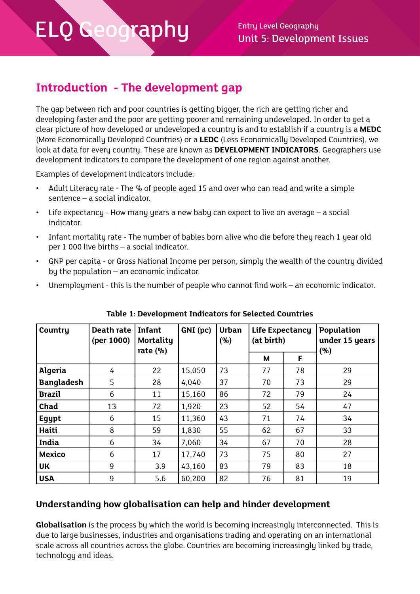# **Introduction - The development gap**

The gap between rich and poor countries is getting bigger, the rich are getting richer and developing faster and the poor are getting poorer and remaining undeveloped. In order to get a clear picture of how developed or undeveloped a country is and to establish if a country is a **MEDC**  (More Economically Developed Countries) or a **LEDC** (Less Economically Developed Countries), we look at data for every country. These are known as **DEVELOPMENT INDICATORS**. Geographers use development indicators to compare the development of one region against another.

Examples of development indicators include:

- Adult Literacy rate The % of people aged 15 and over who can read and write a simple sentence – a social indicator.
- Life expectancy How many years a new baby can expect to live on average  $-$  a social indicator.
- Infant mortality rate The number of babies born alive who die before they reach 1 year old per 1 000 live births – a social indicator.
- GNP per capita or Gross National Income per person, simply the wealth of the country divided by the population – an economic indicator.
- Unemployment this is the number of people who cannot find work an economic indicator.

| Country           | Death rate<br>(per 1000) | <b>Infant</b><br>Mortality<br>rate $(\% )$ | GNI (pc) | <b>Urban</b><br>(%) | Life Expectancy<br>(at birth) |    | Population<br>under 15 years<br>(%) |
|-------------------|--------------------------|--------------------------------------------|----------|---------------------|-------------------------------|----|-------------------------------------|
|                   |                          |                                            |          |                     | М                             | F  |                                     |
| <b>Algeria</b>    | 4                        | 22                                         | 15,050   | 73                  | 77                            | 78 | 29                                  |
| <b>Bangladesh</b> | 5                        | 28                                         | 4,040    | 37                  | 70                            | 73 | 29                                  |
| <b>Brazil</b>     | 6                        | 11                                         | 15,160   | 86                  | 72                            | 79 | 24                                  |
| Chad              | 13                       | 72                                         | 1,920    | 23                  | 52                            | 54 | 47                                  |
| Egypt             | 6                        | 15                                         | 11,360   | 43                  | 71                            | 74 | 34                                  |
| Haiti             | 8                        | 59                                         | 1,830    | 55                  | 62                            | 67 | 33                                  |
| India             | 6                        | 34                                         | 7,060    | 34                  | 67                            | 70 | 28                                  |
| <b>Mexico</b>     | 6                        | 17                                         | 17,740   | 73                  | 75                            | 80 | 27                                  |
| <b>UK</b>         | 9                        | 3.9                                        | 43,160   | 83                  | 79                            | 83 | 18                                  |
| <b>USA</b>        | 9                        | 5.6                                        | 60,200   | 82                  | 76                            | 81 | 19                                  |

**Table 1: Development Indicators for Selected Countries**

### **Understanding how globalisation can help and hinder development**

**Globalisation** is the process by which the world is becoming increasingly interconnected. This is due to large businesses, industries and organisations trading and operating on an international scale across all countries across the globe. Countries are becoming increasingly linked by trade, technology and ideas.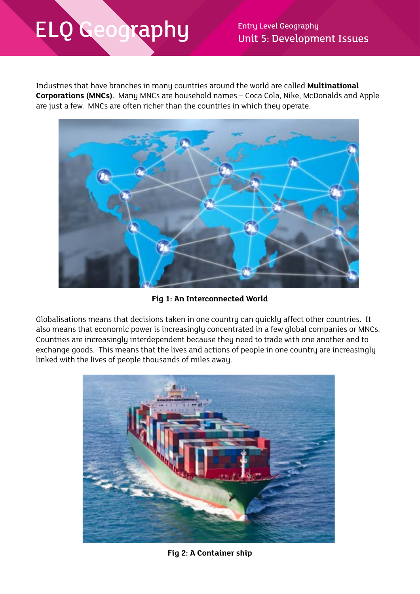Unit 5: Development Issues

Industries that have branches in many countries around the world are called **Multinational Corporations (MNCs)**. Many MNCs are household names – Coca Cola, Nike, McDonalds and Apple are just a few. MNCs are often richer than the countries in which they operate.



**Fig 1: An Interconnected World**

Globalisations means that decisions taken in one country can quickly affect other countries. It also means that economic power is increasingly concentrated in a few global companies or MNCs. Countries are increasingly interdependent because they need to trade with one another and to exchange goods. This means that the lives and actions of people in one country are increasingly linked with the lives of people thousands of miles away.



**Fig 2: A Container ship**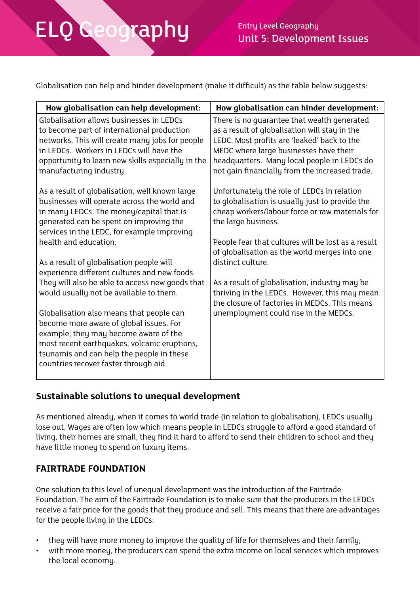$\mathsf{cap}\hspace{0.1cm}\mathsf{H}\mathsf{u}$  Entry Level Geography Unit 5: Development Issues

Globalisation can help and hinder development (make it difficult) as the table below suggests:

| How globalisation can help development:                                                                                                                                                                                                                                                                                                                                                                                                                                                                                                                                                                                                                                                                                       | How globalisation can hinder development:                                                                                                                                                                                                                                                                                                                                                                                                                                                        |
|-------------------------------------------------------------------------------------------------------------------------------------------------------------------------------------------------------------------------------------------------------------------------------------------------------------------------------------------------------------------------------------------------------------------------------------------------------------------------------------------------------------------------------------------------------------------------------------------------------------------------------------------------------------------------------------------------------------------------------|--------------------------------------------------------------------------------------------------------------------------------------------------------------------------------------------------------------------------------------------------------------------------------------------------------------------------------------------------------------------------------------------------------------------------------------------------------------------------------------------------|
| Globalisation allows businesses in LEDCs<br>to become part of international production<br>networks. This will create many jobs for people<br>in LEDCs. Workers in LEDCs will have the<br>opportunity to learn new skills especially in the<br>manufacturing industry.                                                                                                                                                                                                                                                                                                                                                                                                                                                         | There is no quarantee that wealth generated<br>as a result of globalisation will stay in the<br>LEDC. Most profits are 'leaked' back to the<br>MEDC where large businesses have their<br>headquarters. Many local people in LEDCs do<br>not gain financially from the increased trade.                                                                                                                                                                                                           |
| As a result of globalisation, well known large<br>businesses will operate across the world and<br>in many LEDCs. The money/capital that is<br>generated can be spent on improving the<br>services in the LEDC, for example improving<br>health and education.<br>As a result of globalisation people will<br>experience different cultures and new foods.<br>They will also be able to access new goods that<br>would usually not be available to them.<br>Globalisation also means that people can<br>become more aware of global issues. For<br>example, they may become aware of the<br>most recent earthquakes, volcanic eruptions,<br>tsunamis and can help the people in these<br>countries recover faster through aid. | Unfortunately the role of LEDCs in relation<br>to globalisation is usually just to provide the<br>cheap workers/labour force or raw materials for<br>the large business.<br>People fear that cultures will be lost as a result<br>of globalisation as the world merges into one<br>distinct culture.<br>As a result of globalisation, industry may be<br>thriving in the LEDCs. However, this may mean<br>the closure of factories in MEDCs. This means<br>unemployment could rise in the MEDCs. |

### **Sustainable solutions to unequal development**

As mentioned already, when it comes to world trade (in relation to globalisation), LEDCs usually lose out. Wages are often low which means people in LEDCs struggle to afford a good standard of living, their homes are small, they find it hard to afford to send their children to school and they have little money to spend on luxury items.

#### **FAIRTRADE FOUNDATION**

One solution to this level of unequal development was the introduction of the Fairtrade Foundation. The aim of the Fairtrade Foundation is to make sure that the producers in the LEDCs receive a fair price for the goods that they produce and sell. This means that there are advantages for the people living in the LEDCs:

- they will have more money to improve the quality of life for themselves and their family;
- with more money, the producers can spend the extra income on local services which improves the local economy.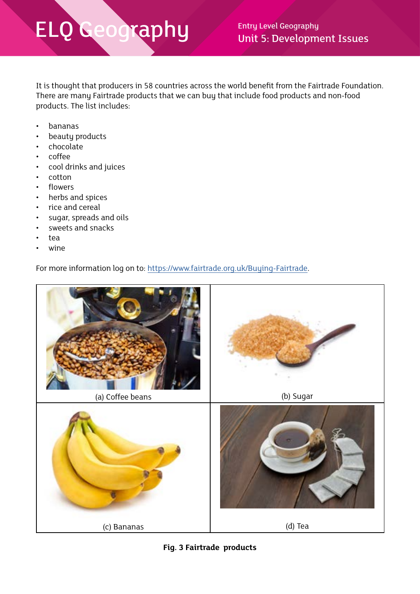It is thought that producers in 58 countries across the world benefit from the Fairtrade Foundation. There are many Fairtrade products that we can buy that include food products and non-food products. The list includes:

- bananas
- beauty products
- chocolate
- coffee
- cool drinks and juices
- cotton
- flowers
- herbs and spices
- rice and cereal
- sugar, spreads and oils
- sweets and snacks
- tea
- wine

For more information log on to:<https://www.fairtrade.org.uk/Buying-Fairtrade>.



**Fig. 3 Fairtrade products**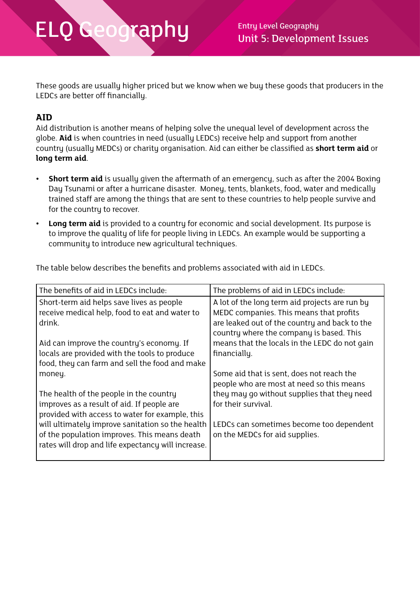These goods are usually higher priced but we know when we buy these goods that producers in the LEDCs are better off financially.

#### **AID**

Aid distribution is another means of helping solve the unequal level of development across the globe. **Aid** is when countries in need (usually LEDCs) receive help and support from another country (usually MEDCs) or charity organisation. Aid can either be classified as **short term aid** or **long term aid**.

- **• Short term aid** is usually given the aftermath of an emergency, such as after the 2004 Boxing Day Tsunami or after a hurricane disaster. Money, tents, blankets, food, water and medically trained staff are among the things that are sent to these countries to help people survive and for the country to recover.
- **• Long term aid** is provided to a country for economic and social development. Its purpose is to improve the quality of life for people living in LEDCs. An example would be supporting a community to introduce new agricultural techniques.

The table below describes the benefits and problems associated with aid in LEDCs.

| The benefits of aid in LEDCs include:                                                                                                                                                                                                                                                                        | The problems of aid in LEDCs include:                                                                                                                                                                                                                   |  |  |
|--------------------------------------------------------------------------------------------------------------------------------------------------------------------------------------------------------------------------------------------------------------------------------------------------------------|---------------------------------------------------------------------------------------------------------------------------------------------------------------------------------------------------------------------------------------------------------|--|--|
| Short-term aid helps save lives as people<br>receive medical help, food to eat and water to<br>drink.<br>Aid can improve the country's economy. If<br>locals are provided with the tools to produce<br>food, they can farm and sell the food and make                                                        | A lot of the long term aid projects are run by<br>MEDC companies. This means that profits<br>are leaked out of the country and back to the<br>country where the company is based. This<br>means that the locals in the LEDC do not gain<br>financially. |  |  |
| money.<br>The health of the people in the country<br>improves as a result of aid. If people are<br>provided with access to water for example, this<br>will ultimately improve sanitation so the health<br>of the population improves. This means death<br>rates will drop and life expectancy will increase. | Some aid that is sent, does not reach the<br>people who are most at need so this means<br>they may go without supplies that they need<br>for their survival.<br>LEDCs can sometimes become too dependent<br>on the MEDCs for aid supplies.              |  |  |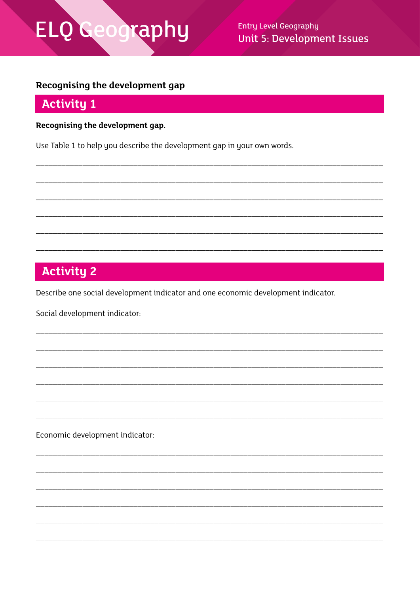# ELQ Geography

**Entry Level Geography Unit 5: Development Issues** 

### Recognising the development gap

### **Activity 1**

Recognising the development gap.

Use Table 1 to help you describe the development gap in your own words.

# **Activity 2**

Describe one social development indicator and one economic development indicator.

Social development indicator:

Economic development indicator: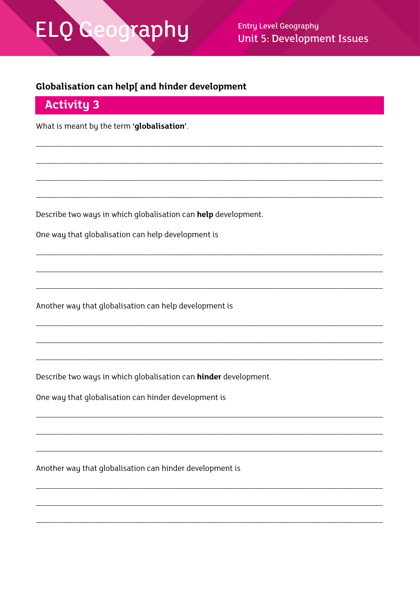# El Geography

**Entry Level Geography Unit 5: Development Issues** 

### Globalisation can help[ and hinder development

### **Activity 3**

What is meant by the term 'globalisation'.

Describe two ways in which globalisation can help development.

One way that globalisation can help development is

Another way that globalisation can help development is

Describe two ways in which globalisation can hinder development.

One way that globalisation can hinder development is

Another way that globalisation can hinder development is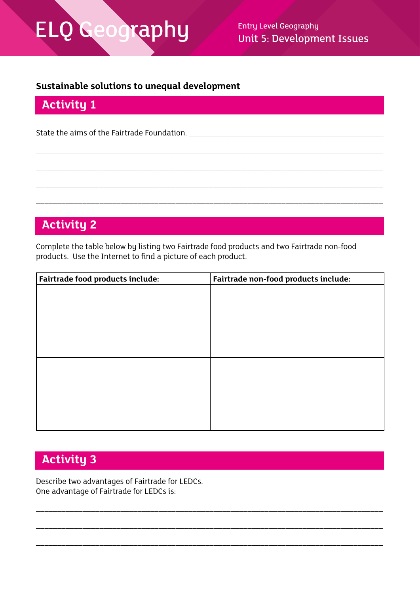Unit 5: Development Issues

#### **Sustainable solutions to unequal development**

## **Activity 1**

State the aims of the Fairtrade Foundation. \_\_\_\_\_\_\_\_\_\_\_\_\_\_\_\_\_\_\_\_\_\_\_\_\_\_\_\_\_\_\_\_\_\_\_\_\_\_\_\_\_\_\_\_\_\_

## **Activity 2**

Complete the table below by listing two Fairtrade food products and two Fairtrade non-food products. Use the Internet to find a picture of each product.

\_\_\_\_\_\_\_\_\_\_\_\_\_\_\_\_\_\_\_\_\_\_\_\_\_\_\_\_\_\_\_\_\_\_\_\_\_\_\_\_\_\_\_\_\_\_\_\_\_\_\_\_\_\_\_\_\_\_\_\_\_\_\_\_\_\_\_\_\_\_\_\_\_\_\_\_\_\_\_\_\_\_

\_\_\_\_\_\_\_\_\_\_\_\_\_\_\_\_\_\_\_\_\_\_\_\_\_\_\_\_\_\_\_\_\_\_\_\_\_\_\_\_\_\_\_\_\_\_\_\_\_\_\_\_\_\_\_\_\_\_\_\_\_\_\_\_\_\_\_\_\_\_\_\_\_\_\_\_\_\_\_\_\_\_

\_\_\_\_\_\_\_\_\_\_\_\_\_\_\_\_\_\_\_\_\_\_\_\_\_\_\_\_\_\_\_\_\_\_\_\_\_\_\_\_\_\_\_\_\_\_\_\_\_\_\_\_\_\_\_\_\_\_\_\_\_\_\_\_\_\_\_\_\_\_\_\_\_\_\_\_\_\_\_\_\_\_

\_\_\_\_\_\_\_\_\_\_\_\_\_\_\_\_\_\_\_\_\_\_\_\_\_\_\_\_\_\_\_\_\_\_\_\_\_\_\_\_\_\_\_\_\_\_\_\_\_\_\_\_\_\_\_\_\_\_\_\_\_\_\_\_\_\_\_\_\_\_\_\_\_\_\_\_\_\_\_\_\_\_

| Fairtrade food products include: | Fairtrade non-food products include: |
|----------------------------------|--------------------------------------|
|                                  |                                      |
|                                  |                                      |
|                                  |                                      |
|                                  |                                      |
|                                  |                                      |
|                                  |                                      |
|                                  |                                      |
|                                  |                                      |
|                                  |                                      |
|                                  |                                      |
|                                  |                                      |
|                                  |                                      |

\_\_\_\_\_\_\_\_\_\_\_\_\_\_\_\_\_\_\_\_\_\_\_\_\_\_\_\_\_\_\_\_\_\_\_\_\_\_\_\_\_\_\_\_\_\_\_\_\_\_\_\_\_\_\_\_\_\_\_\_\_\_\_\_\_\_\_\_\_\_\_\_\_\_\_\_\_\_\_\_\_\_

\_\_\_\_\_\_\_\_\_\_\_\_\_\_\_\_\_\_\_\_\_\_\_\_\_\_\_\_\_\_\_\_\_\_\_\_\_\_\_\_\_\_\_\_\_\_\_\_\_\_\_\_\_\_\_\_\_\_\_\_\_\_\_\_\_\_\_\_\_\_\_\_\_\_\_\_\_\_\_\_\_\_

\_\_\_\_\_\_\_\_\_\_\_\_\_\_\_\_\_\_\_\_\_\_\_\_\_\_\_\_\_\_\_\_\_\_\_\_\_\_\_\_\_\_\_\_\_\_\_\_\_\_\_\_\_\_\_\_\_\_\_\_\_\_\_\_\_\_\_\_\_\_\_\_\_\_\_\_\_\_\_\_\_\_

## **Activity 3**

Describe two advantages of Fairtrade for LEDCs. One advantage of Fairtrade for LEDCs is: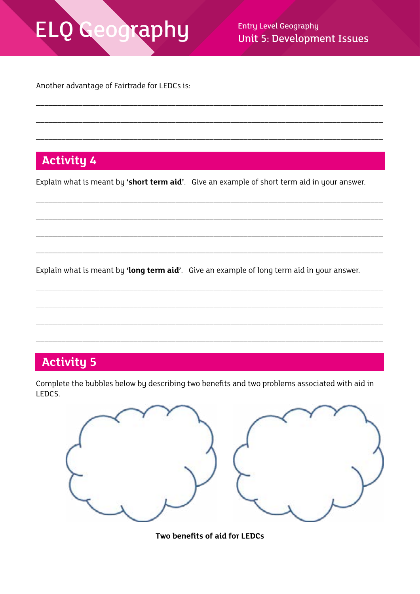# Geography ELQ

**Entry Level Geography Unit 5: Development Issues** 

Another advantage of Fairtrade for LEDCs is:

# **Activity 4**

Explain what is meant by 'short term aid'. Give an example of short term aid in your answer.

Explain what is meant by 'long term aid'. Give an example of long term aid in your answer.

# **Activity 5**

Complete the bubbles below by describing two benefits and two problems associated with aid in LEDCS.



Two benefits of aid for LEDCs